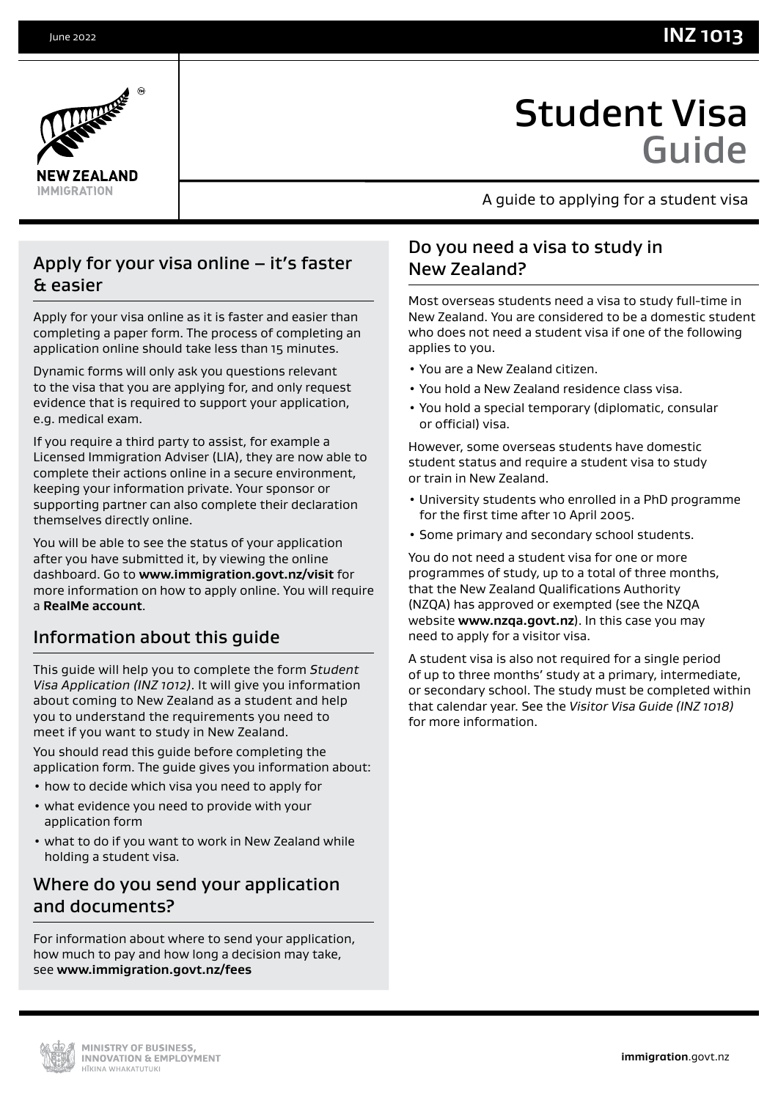



# Student Visa Guide

A guide to applying for a student visa

# Apply for your visa online – it's faster & easier

Apply for your visa online as it is faster and easier than completing a paper form. The process of completing an application online should take less than 15 minutes.

Dynamic forms will only ask you questions relevant to the visa that you are applying for, and only request evidence that is required to support your application, e.g. medical exam.

If you require a third party to assist, for example a Licensed Immigration Adviser (LIA), they are now able to complete their actions online in a secure environment, keeping your information private. Your sponsor or supporting partner can also complete their declaration themselves directly online.

You will be able to see the status of your application after you have submitted it, by viewing the online dashboard. Go to **[www.immigration.govt.nz/visit](http://www.immigration.govt.nz/visit)** for more information on how to apply online. You will require a **[RealMe account](https://www.realme.govt.nz/)**.

# Information about this guide

This guide will help you to complete the form *Student Visa Application (INZ 1012)*. It will give you information about coming to New Zealand as a student and help you to understand the requirements you need to meet if you want to study in New Zealand.

You should read this guide before completing the application form. The guide gives you information about:

- how to decide which visa you need to apply for
- what evidence you need to provide with your application form
- what to do if you want to work in New Zealand while holding a student visa.

# Where do you send your application and documents?

For information about where to send your application, how much to pay and how long a decision may take, see **www.immigration.govt.nz/fees**

# Do you need a visa to study in New Zealand?

Most overseas students need a visa to study full-time in New Zealand. You are considered to be a domestic student who does not need a student visa if one of the following applies to you.

- You are a New Zealand citizen.
- You hold a New Zealand residence class visa.
- You hold a special temporary (diplomatic, consular or official) visa.

However, some overseas students have domestic student status and require a student visa to study or train in New Zealand.

- University students who enrolled in a PhD programme for the first time after 10 April 2005.
- Some primary and secondary school students.

You do not need a student visa for one or more programmes of study, up to a total of three months, that the New Zealand Qualifications Authority (NZQA) has approved or exempted (see the NZQA website **[www.nzqa.govt.nz](https://www.immigration.govt.nzwww.nzqa.govt.nz)**). In this case you may need to apply for a visitor visa.

A student visa is also not required for a single period of up to three months' study at a primary, intermediate, or secondary school. The study must be completed within that calendar year. See the *Visitor Visa Guide (INZ 1018)*  for more information.

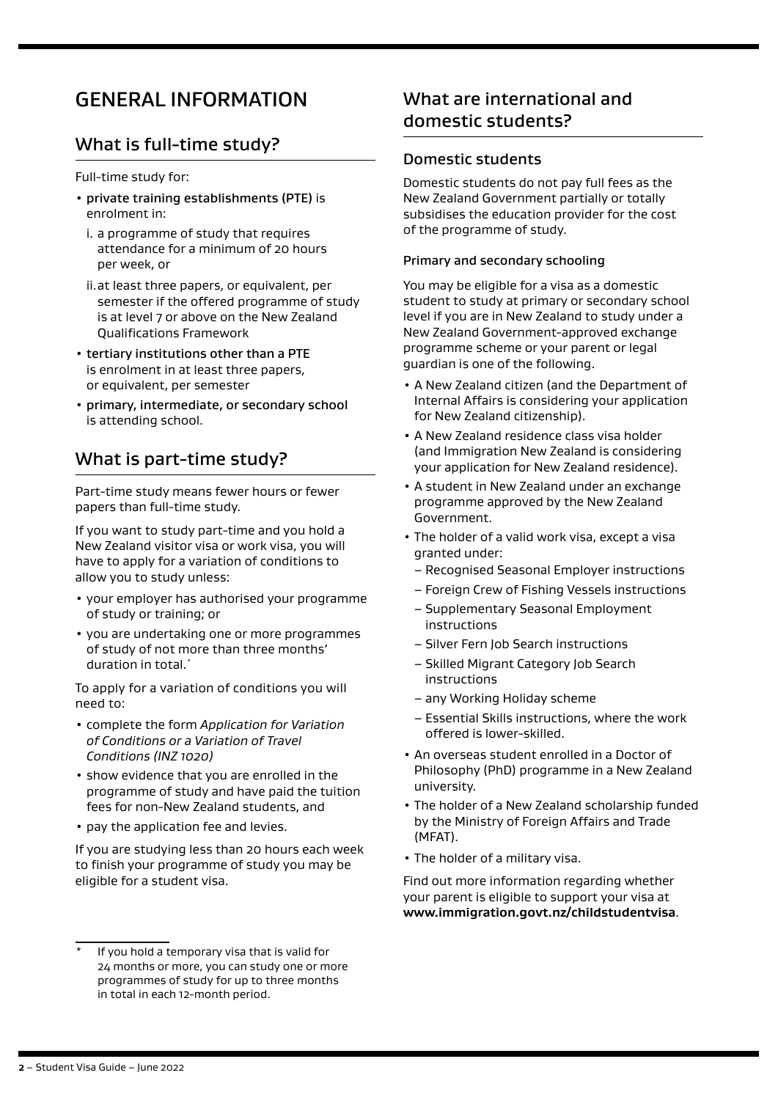# GENERAL INFORMATION

# What is full-time study?

Full-time study for:

- private training establishments (PTE) is enrolment in:
	- i. a programme of study that requires attendance for a minimum of 20 hours per week, or
	- ii.at least three papers, or equivalent, per semester if the offered programme of study is at level 7 or above on the New Zealand Qualifications Framework
- tertiary institutions other than a PTE is enrolment in at least three papers, or equivalent, per semester
- primary, intermediate, or secondary school is attending school.

# What is part-time study?

Part-time study means fewer hours or fewer papers than full-time study.

If you want to study part-time and you hold a New Zealand visitor visa or work visa, you will have to apply for a variation of conditions to allow you to study unless:

- your employer has authorised your programme of study or training; or
- you are undertaking one or more programmes of study of not more than three months' duration in total.\*

To apply for a variation of conditions you will need to:

- complete the form *Application for Variation of Conditions or a Variation of Travel Conditions (INZ 1020)*
- show evidence that you are enrolled in the programme of study and have paid the tuition fees for non-New Zealand students, and
- pay the application fee and levies.

If you are studying less than 20 hours each week to finish your programme of study you may be eligible for a student visa.

# What are international and domestic students?

### Domestic students

Domestic students do not pay full fees as the New Zealand Government partially or totally subsidises the education provider for the cost of the programme of study.

#### Primary and secondary schooling

You may be eligible for a visa as a domestic student to study at primary or secondary school level if you are in New Zealand to study under a New Zealand Government-approved exchange programme scheme or your parent or legal guardian is one of the following.

- A New Zealand citizen (and the Department of Internal Affairs is considering your application for New Zealand citizenship).
- A New Zealand residence class visa holder (and Immigration New Zealand is considering your application for New Zealand residence).
- A student in New Zealand under an exchange programme approved by the New Zealand Government.
- The holder of a valid work visa, except a visa granted under:
	- Recognised Seasonal Employer instructions
	- Foreign Crew of Fishing Vessels instructions
	- Supplementary Seasonal Employment instructions
	- Silver Fern Job Search instructions
	- Skilled Migrant Category Job Search instructions
	- any Working Holiday scheme
	- Essential Skills instructions, where the work offered is lower-skilled.
- An overseas student enrolled in a Doctor of Philosophy (PhD) programme in a New Zealand university.
- The holder of a New Zealand scholarship funded by the Ministry of Foreign Affairs and Trade (MFAT).
- The holder of a military visa.

Find out more information regarding whether your parent is eligible to support your visa at **[www.immigration.govt.nz/childstudentvisa](http://www.immigration.govt.nz/childstudentvisa)**.

If you hold a temporary visa that is valid for 24 months or more, you can study one or more programmes of study for up to three months in total in each 12-month period.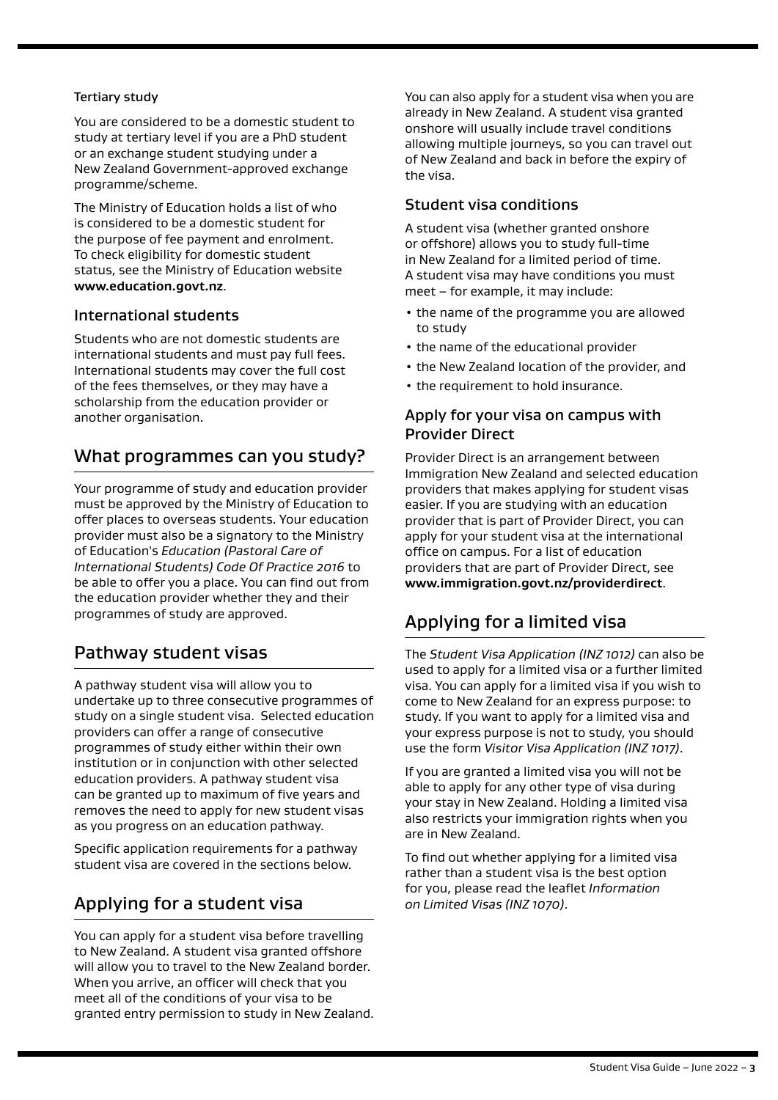#### Tertiary study

You are considered to be a domestic student to study at tertiary level if you are a PhD student or an exchange student studying under a New Zealand Government-approved exchange programme/scheme.

The Ministry of Education holds a list of who is considered to be a domestic student for the purpose of fee payment and enrolment. To check eligibility for domestic student status, see the Ministry of Education website **[www.education.govt.nz](http://www.education.govt.nz)**.

### International students

Students who are not domestic students are international students and must pay full fees. International students may cover the full cost of the fees themselves, or they may have a scholarship from the education provider or another organisation.

# What programmes can you study?

Your programme of study and education provider must be approved by the Ministry of Education to offer places to overseas students. Your education provider must also be a signatory to the Ministry of Education's *Education (Pastoral Care of International Students) Code Of Practice 2016* to be able to offer you a place. You can find out from the education provider whether they and their programmes of study are approved.

# Pathway student visas

A pathway student visa will allow you to undertake up to three consecutive programmes of study on a single student visa. Selected education providers can offer a range of consecutive programmes of study either within their own institution or in conjunction with other selected education providers. A pathway student visa can be granted up to maximum of five years and removes the need to apply for new student visas as you progress on an education pathway.

Specific application requirements for a pathway student visa are covered in the sections below.

# Applying for a student visa

You can apply for a student visa before travelling to New Zealand. A student visa granted offshore will allow you to travel to the New Zealand border. When you arrive, an officer will check that you meet all of the conditions of your visa to be granted entry permission to study in New Zealand. You can also apply for a student visa when you are already in New Zealand. A student visa granted onshore will usually include travel conditions allowing multiple journeys, so you can travel out of New Zealand and back in before the expiry of the visa.

#### Student visa conditions

A student visa (whether granted onshore or offshore) allows you to study full-time in New Zealand for a limited period of time. A student visa may have conditions you must meet – for example, it may include:

- the name of the programme you are allowed to study
- the name of the educational provider
- the New Zealand location of the provider, and
- the requirement to hold insurance.

### Apply for your visa on campus with Provider Direct

Provider Direct is an arrangement between Immigration New Zealand and selected education providers that makes applying for student visas easier. If you are studying with an education provider that is part of Provider Direct, you can apply for your student visa at the international office on campus. For a list of education providers that are part of Provider Direct, see **[www.immigration.govt.nz/p](https://www.immigration.govt.nzwww.immigration.govt.nz/sol)roviderdirect**.

# Applying for a limited visa

The *Student Visa Application (INZ 1012)* can also be used to apply for a limited visa or a further limited visa. You can apply for a limited visa if you wish to come to New Zealand for an express purpose: to study. If you want to apply for a limited visa and your express purpose is not to study, you should use the form *Visitor Visa Application (INZ 1017)*.

If you are granted a limited visa you will not be able to apply for any other type of visa during your stay in New Zealand. Holding a limited visa also restricts your immigration rights when you are in New Zealand.

To find out whether applying for a limited visa rather than a student visa is the best option for you, please read the leaflet *Information on Limited Visas (INZ 1070)*.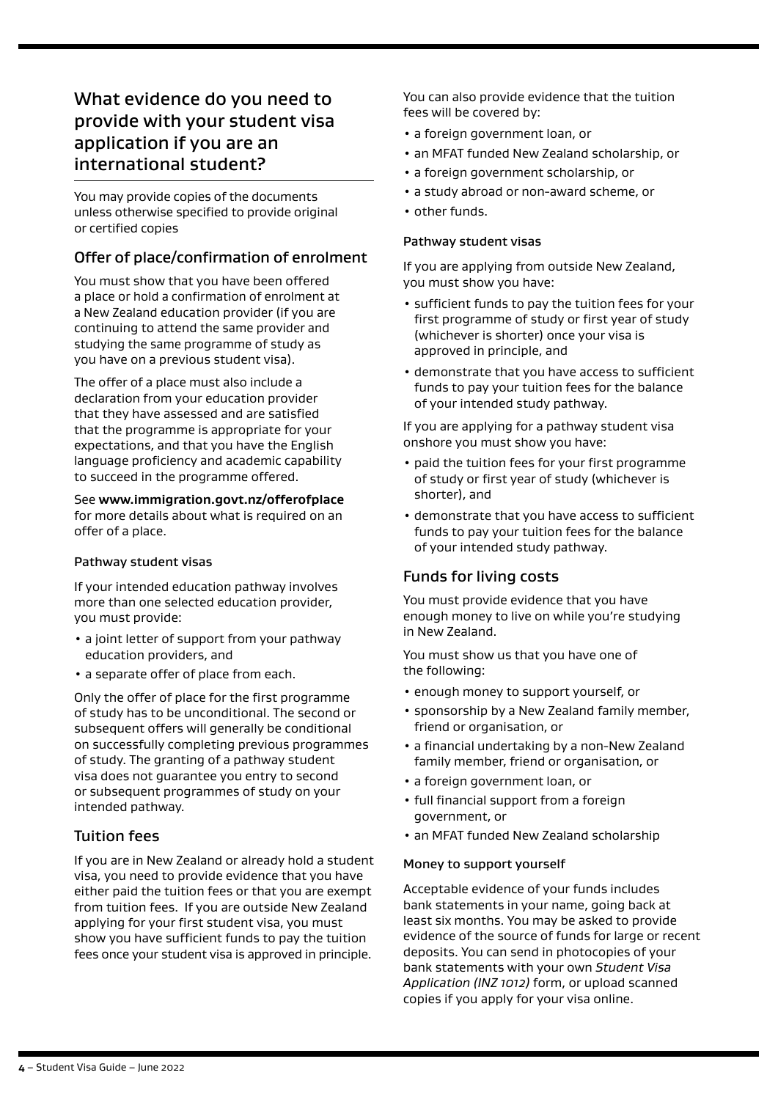# What evidence do you need to provide with your student visa application if you are an international student?

You may provide copies of the documents unless otherwise specified to provide original or certified copies

### Offer of place/confirmation of enrolment

You must show that you have been offered a place or hold a confirmation of enrolment at a New Zealand education provider (if you are continuing to attend the same provider and studying the same programme of study as you have on a previous student visa).

The offer of a place must also include a declaration from your education provider that they have assessed and are satisfied that the programme is appropriate for your expectations, and that you have the English language proficiency and academic capability to succeed in the programme offered.

See **[www.immigration.govt.nz/offerofplace](https://www.immigration.govt.nzwww.immigration.govt.nz/offerofplace)** for more details about what is required on an offer of a place.

#### Pathway student visas

If your intended education pathway involves more than one selected education provider, you must provide:

- a joint letter of support from your pathway education providers, and
- a separate offer of place from each.

Only the offer of place for the first programme of study has to be unconditional. The second or subsequent offers will generally be conditional on successfully completing previous programmes of study. The granting of a pathway student visa does not guarantee you entry to second or subsequent programmes of study on your intended pathway.

### Tuition fees

If you are in New Zealand or already hold a student visa, you need to provide evidence that you have either paid the tuition fees or that you are exempt from tuition fees. If you are outside New Zealand applying for your first student visa, you must show you have sufficient funds to pay the tuition fees once your student visa is approved in principle.

You can also provide evidence that the tuition fees will be covered by:

- a foreign government loan, or
- an MFAT funded New Zealand scholarship, or
- a foreign government scholarship, or
- a study abroad or non-award scheme, or
- other funds.

#### Pathway student visas

If you are applying from outside New Zealand, you must show you have:

- sufficient funds to pay the tuition fees for your first programme of study or first year of study (whichever is shorter) once your visa is approved in principle, and
- demonstrate that you have access to sufficient funds to pay your tuition fees for the balance of your intended study pathway.

If you are applying for a pathway student visa onshore you must show you have:

- paid the tuition fees for your first programme of study or first year of study (whichever is shorter), and
- demonstrate that you have access to sufficient funds to pay your tuition fees for the balance of your intended study pathway.

### Funds for living costs

You must provide evidence that you have enough money to live on while you're studying in New Zealand.

You must show us that you have one of the following:

- enough money to support yourself, or
- sponsorship by a New Zealand family member, friend or organisation, or
- a financial undertaking by a non-New Zealand family member, friend or organisation, or
- a foreign government loan, or
- full financial support from a foreign government, or
- an MFAT funded New Zealand scholarship

#### Money to support yourself

Acceptable evidence of your funds includes bank statements in your name, going back at least six months. You may be asked to provide evidence of the source of funds for large or recent deposits. You can send in photocopies of your bank statements with your own *Student Visa Application (INZ 1012)* form, or upload scanned copies if you apply for your visa online.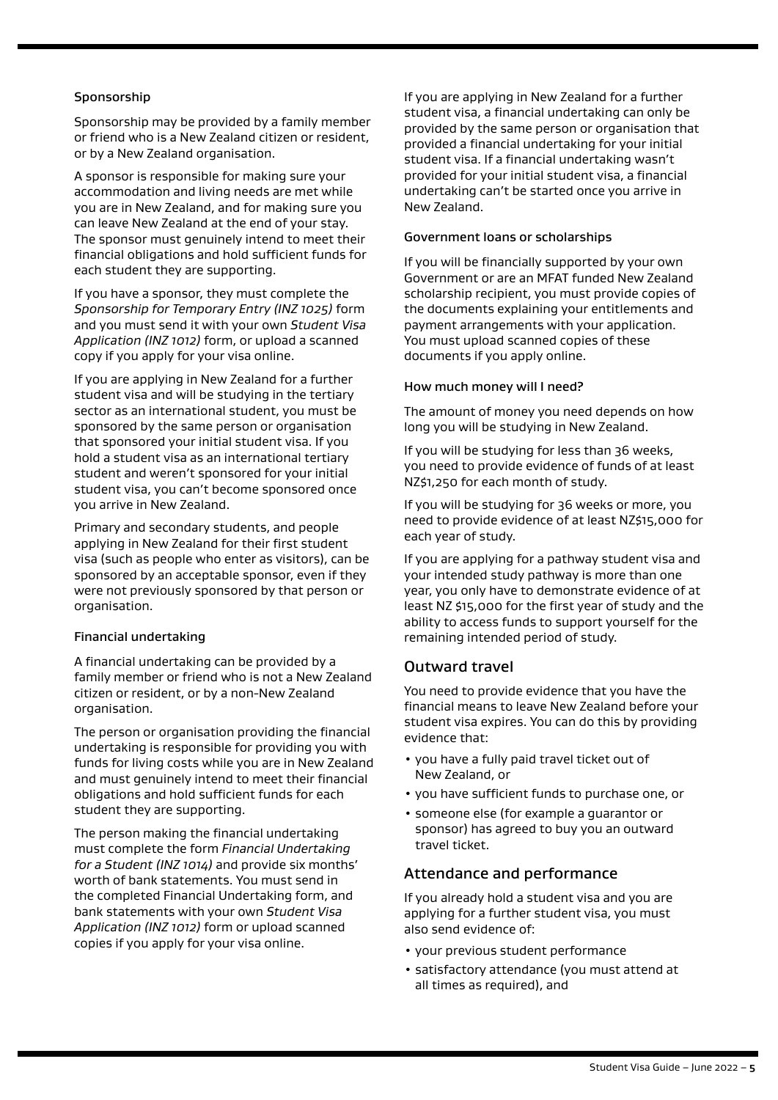#### Sponsorship

Sponsorship may be provided by a family member or friend who is a New Zealand citizen or resident, or by a New Zealand organisation.

A sponsor is responsible for making sure your accommodation and living needs are met while you are in New Zealand, and for making sure you can leave New Zealand at the end of your stay. The sponsor must genuinely intend to meet their financial obligations and hold sufficient funds for each student they are supporting.

If you have a sponsor, they must complete the *Sponsorship for Temporary Entry (INZ 1025)* form and you must send it with your own *Student Visa Application (INZ 1012)* form, or upload a scanned copy if you apply for your visa online.

If you are applying in New Zealand for a further student visa and will be studying in the tertiary sector as an international student, you must be sponsored by the same person or organisation that sponsored your initial student visa. If you hold a student visa as an international tertiary student and weren't sponsored for your initial student visa, you can't become sponsored once you arrive in New Zealand.

Primary and secondary students, and people applying in New Zealand for their first student visa (such as people who enter as visitors), can be sponsored by an acceptable sponsor, even if they were not previously sponsored by that person or organisation.

#### Financial undertaking

A financial undertaking can be provided by a family member or friend who is not a New Zealand citizen or resident, or by a non-New Zealand organisation.

The person or organisation providing the financial undertaking is responsible for providing you with funds for living costs while you are in New Zealand and must genuinely intend to meet their financial obligations and hold sufficient funds for each student they are supporting.

The person making the financial undertaking must complete the form *Financial Undertaking for a Student (INZ 1014)* and provide six months' worth of bank statements. You must send in the completed Financial Undertaking form, and bank statements with your own *Student Visa Application (INZ 1012)* form or upload scanned copies if you apply for your visa online.

If you are applying in New Zealand for a further student visa, a financial undertaking can only be provided by the same person or organisation that provided a financial undertaking for your initial student visa. If a financial undertaking wasn't provided for your initial student visa, a financial undertaking can't be started once you arrive in New Zealand.

#### Government loans or scholarships

If you will be financially supported by your own Government or are an MFAT funded New Zealand scholarship recipient, you must provide copies of the documents explaining your entitlements and payment arrangements with your application. You must upload scanned copies of these documents if you apply online.

#### How much money will I need?

The amount of money you need depends on how long you will be studying in New Zealand.

If you will be studying for less than 36 weeks, you need to provide evidence of funds of at least NZ\$1,250 for each month of study.

If you will be studying for 36 weeks or more, you need to provide evidence of at least NZ\$15,000 for each year of study.

If you are applying for a pathway student visa and your intended study pathway is more than one year, you only have to demonstrate evidence of at least NZ \$15,000 for the first year of study and the ability to access funds to support yourself for the remaining intended period of study.

#### Outward travel

You need to provide evidence that you have the financial means to leave New Zealand before your student visa expires. You can do this by providing evidence that:

- you have a fully paid travel ticket out of New Zealand, or
- you have sufficient funds to purchase one, or
- someone else (for example a guarantor or sponsor) has agreed to buy you an outward travel ticket.

#### Attendance and performance

If you already hold a student visa and you are applying for a further student visa, you must also send evidence of:

- your previous student performance
- satisfactory attendance (you must attend at all times as required), and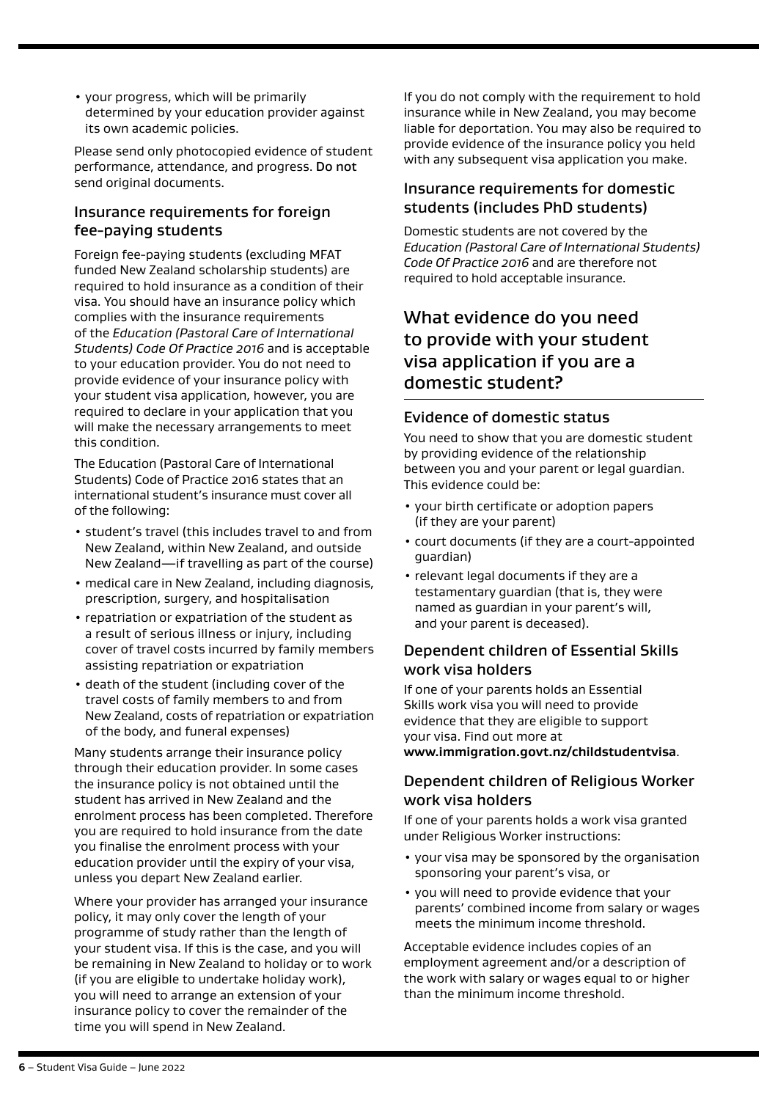• your progress, which will be primarily determined by your education provider against its own academic policies.

Please send only photocopied evidence of student performance, attendance, and progress. Do not send original documents.

### Insurance requirements for foreign fee-paying students

Foreign fee-paying students (excluding MFAT funded New Zealand scholarship students) are required to hold insurance as a condition of their visa. You should have an insurance policy which complies with the insurance requirements of the *Education (Pastoral Care of International Students) Code Of Practice 2016* and is acceptable to your education provider. You do not need to provide evidence of your insurance policy with your student visa application, however, you are required to declare in your application that you will make the necessary arrangements to meet this condition.

The Education (Pastoral Care of International Students) Code of Practice 2016 states that an international student's insurance must cover all of the following:

- student's travel (this includes travel to and from New Zealand, within New Zealand, and outside New Zealand—if travelling as part of the course)
- medical care in New Zealand, including diagnosis, prescription, surgery, and hospitalisation
- repatriation or expatriation of the student as a result of serious illness or injury, including cover of travel costs incurred by family members assisting repatriation or expatriation
- death of the student (including cover of the travel costs of family members to and from New Zealand, costs of repatriation or expatriation of the body, and funeral expenses)

Many students arrange their insurance policy through their education provider. In some cases the insurance policy is not obtained until the student has arrived in New Zealand and the enrolment process has been completed. Therefore you are required to hold insurance from the date you finalise the enrolment process with your education provider until the expiry of your visa, unless you depart New Zealand earlier.

Where your provider has arranged your insurance policy, it may only cover the length of your programme of study rather than the length of your student visa. If this is the case, and you will be remaining in New Zealand to holiday or to work (if you are eligible to undertake holiday work), you will need to arrange an extension of your insurance policy to cover the remainder of the time you will spend in New Zealand.

If you do not comply with the requirement to hold insurance while in New Zealand, you may become liable for deportation. You may also be required to provide evidence of the insurance policy you held with any subsequent visa application you make.

### Insurance requirements for domestic students (includes PhD students)

Domestic students are not covered by the *Education (Pastoral Care of International Students) Code Of Practice 2016* and are therefore not required to hold acceptable insurance.

# What evidence do you need to provide with your student visa application if you are a domestic student?

### Evidence of domestic status

You need to show that you are domestic student by providing evidence of the relationship between you and your parent or legal guardian. This evidence could be:

- your birth certificate or adoption papers (if they are your parent)
- court documents (if they are a court-appointed guardian)
- relevant legal documents if they are a testamentary guardian (that is, they were named as guardian in your parent's will, and your parent is deceased).

### Dependent children of Essential Skills work visa holders

If one of your parents holds an Essential Skills work visa you will need to provide evidence that they are eligible to support your visa. Find out more at **www.immigration.govt.nz/childstudentvisa**.

### Dependent children of Religious Worker work visa holders

If one of your parents holds a work visa granted under Religious Worker instructions:

- your visa may be sponsored by the organisation sponsoring your parent's visa, or
- you will need to provide evidence that your parents' combined income from salary or wages meets the minimum income threshold.

Acceptable evidence includes copies of an employment agreement and/or a description of the work with salary or wages equal to or higher than the minimum income threshold.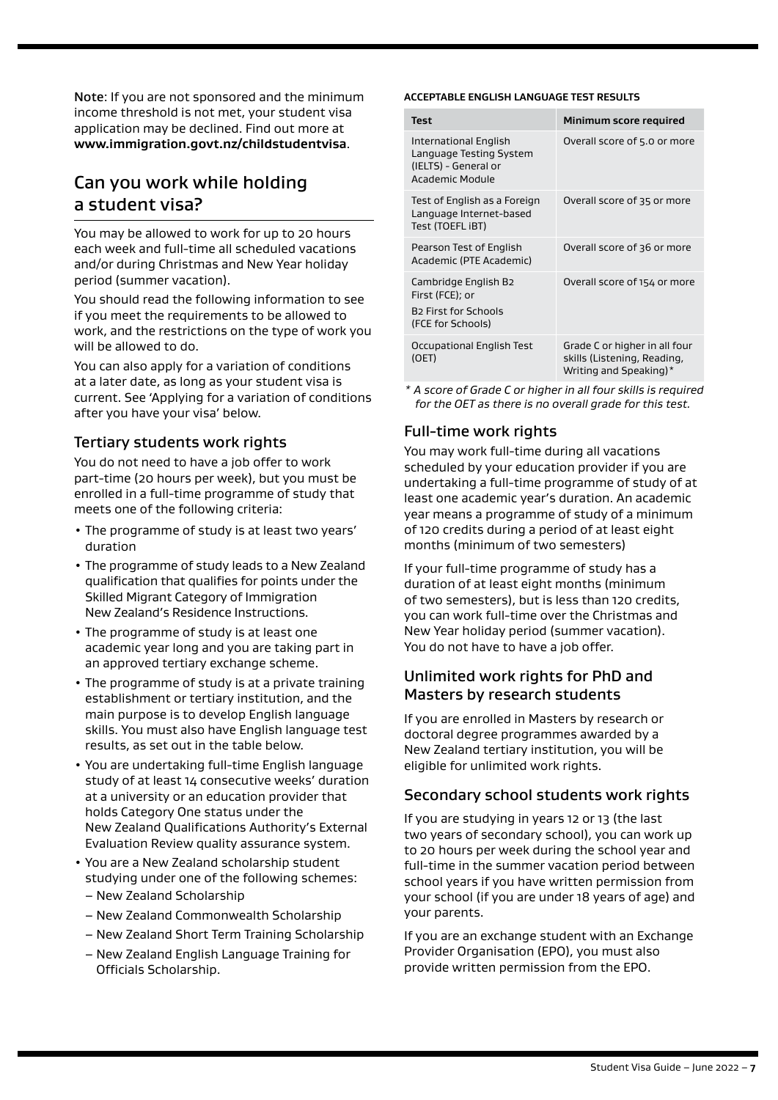Note: If you are not sponsored and the minimum income threshold is not met, your student visa application may be declined. Find out more at **[www.immigration.govt.nz/childstudentvisa](http://www.immigration.govt.nz/childstudentvisa)**.

# Can you work while holding a student visa?

You may be allowed to work for up to 20 hours each week and full-time all scheduled vacations and/or during Christmas and New Year holiday period (summer vacation).

You should read the following information to see if you meet the requirements to be allowed to work, and the restrictions on the type of work you will be allowed to do.

You can also apply for a variation of conditions at a later date, as long as your student visa is current. See 'Applying for a variation of conditions after you have your visa' below.

### Tertiary students work rights

You do not need to have a job offer to work part-time (20 hours per week), but you must be enrolled in a full-time programme of study that meets one of the following criteria:

- The programme of study is at least two years' duration
- The programme of study leads to a New Zealand qualification that qualifies for points under the Skilled Migrant Category of Immigration New Zealand's Residence Instructions.
- The programme of study is at least one academic year long and you are taking part in an approved tertiary exchange scheme.
- The programme of study is at a private training establishment or tertiary institution, and the main purpose is to develop English language skills. You must also have English language test results, as set out in the table below.
- You are undertaking full-time English language study of at least 14 consecutive weeks' duration at a university or an education provider that holds Category One status under the New Zealand Qualifications Authority's External Evaluation Review quality assurance system.
- You are a New Zealand scholarship student studying under one of the following schemes:
	- New Zealand Scholarship
	- New Zealand Commonwealth Scholarship
	- New Zealand Short Term Training Scholarship
	- New Zealand English Language Training for Officials Scholarship.

#### **ACCEPTABLE ENGLISH LANGUAGE TEST RESULTS**

| Test                                                                                                   | Minimum score required                                                                 |
|--------------------------------------------------------------------------------------------------------|----------------------------------------------------------------------------------------|
| International English<br>Language Testing System<br>(IELTS) - General or<br>Academic Module            | Overall score of 5.0 or more                                                           |
| Test of English as a Foreign<br>Language Internet-based<br>Test (TOEFL iBT)                            | Overall score of 35 or more                                                            |
| Pearson Test of English<br>Academic (PTE Academic)                                                     | Overall score of 36 or more                                                            |
| Cambridge English B2<br>First (FCE); or<br><b>B<sub>2</sub></b> First for Schools<br>(FCE for Schools) | Overall score of 154 or more                                                           |
| Occupational English Test<br>(OET)                                                                     | Grade C or higher in all four<br>skills (Listening, Reading,<br>Writing and Speaking)* |

*\* A score of Grade C or higher in all four skills is required for the OET as there is no overall grade for this test.*

### Full-time work rights

You may work full-time during all vacations scheduled by your education provider if you are undertaking a full-time programme of study of at least one academic year's duration. An academic year means a programme of study of a minimum of 120 credits during a period of at least eight months (minimum of two semesters)

If your full-time programme of study has a duration of at least eight months (minimum of two semesters), but is less than 120 credits, you can work full-time over the Christmas and New Year holiday period (summer vacation). You do not have to have a job offer.

# Unlimited work rights for PhD and Masters by research students

If you are enrolled in Masters by research or doctoral degree programmes awarded by a New Zealand tertiary institution, you will be eligible for unlimited work rights.

### Secondary school students work rights

If you are studying in years 12 or 13 (the last two years of secondary school), you can work up to 20 hours per week during the school year and full-time in the summer vacation period between school years if you have written permission from your school (if you are under 18 years of age) and your parents.

If you are an exchange student with an Exchange Provider Organisation (EPO), you must also provide written permission from the EPO.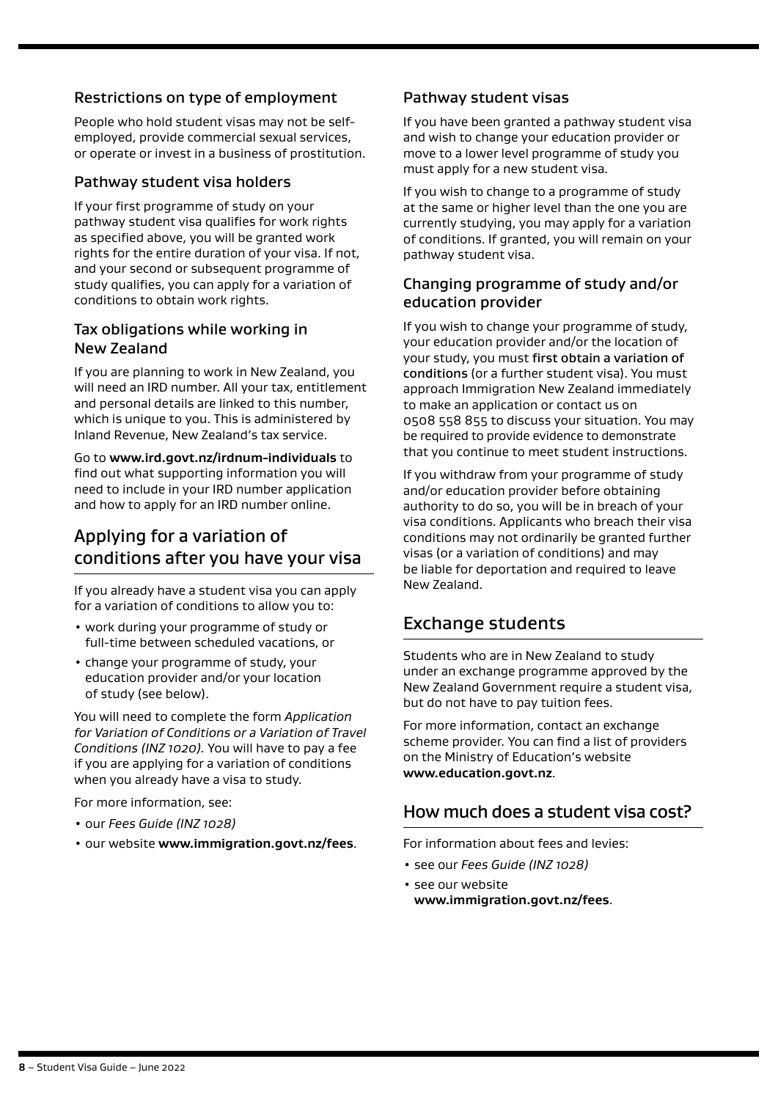# Restrictions on type of employment

People who hold student visas may not be selfemployed, provide commercial sexual services, or operate or invest in a business of prostitution.

### Pathway student visa holders

If your first programme of study on your pathway student visa qualifies for work rights as specified above, you will be granted work rights for the entire duration of your visa. If not, and your second or subsequent programme of study qualifies, you can apply for a variation of conditions to obtain work rights.

### Tax obligations while working in New Zealand

If you are planning to work in New Zealand, you will need an IRD number. All your tax, entitlement and personal details are linked to this number, which is unique to you. This is administered by Inland Revenue, New Zealand's tax service.

Go to **[www.ird.govt.nz/irdnum-individuals](http://www.ird.govt.nz/irdnum-individuals)** to find out what supporting information you will need to include in your IRD number application and how to apply for an IRD number online.

# Applying for a variation of conditions after you have your visa

If you already have a student visa you can apply for a variation of conditions to allow you to:

- work during your programme of study or full-time between scheduled vacations, or
- change your programme of study, your education provider and/or your location of study (see below).

You will need to complete the form *Application for Variation of Conditions or a Variation of Travel Conditions (INZ 1020).* You will have to pay a fee if you are applying for a variation of conditions when you already have a visa to study.

For more information, see:

- our *Fees Guide (INZ 1028)*
- our website **[www.immigration.govt.nz/fees](https://www.immigration.govt.nzwww.immigration.govt.nz/fees)**.

### Pathway student visas

If you have been granted a pathway student visa and wish to change your education provider or move to a lower level programme of study you must apply for a new student visa.

If you wish to change to a programme of study at the same or higher level than the one you are currently studying, you may apply for a variation of conditions. If granted, you will remain on your pathway student visa.

# Changing programme of study and/or education provider

If you wish to change your programme of study, your education provider and/or the location of your study, you must first obtain a variation of conditions (or a further student visa). You must approach Immigration New Zealand immediately to make an application or contact us on 0508 558 855 to discuss your situation. You may be required to provide evidence to demonstrate that you continue to meet student instructions.

If you withdraw from your programme of study and/or education provider before obtaining authority to do so, you will be in breach of your visa conditions. Applicants who breach their visa conditions may not ordinarily be granted further visas (or a variation of conditions) and may be liable for deportation and required to leave New Zealand.

# Exchange students

Students who are in New Zealand to study under an exchange programme approved by the New Zealand Government require a student visa, but do not have to pay tuition fees.

For more information, contact an exchange scheme provider. You can find a list of providers on the Ministry of Education's website **[www.education.govt.nz](http://www.education.govt.nz)**.

# How much does a student visa cost?

For information about fees and levies:

- see our *Fees Guide (INZ 1028)*
- see our website **[www.immigration.govt.nz/fees](https://www.immigration.govt.nzwww.immigration.govt.nz/fees)**.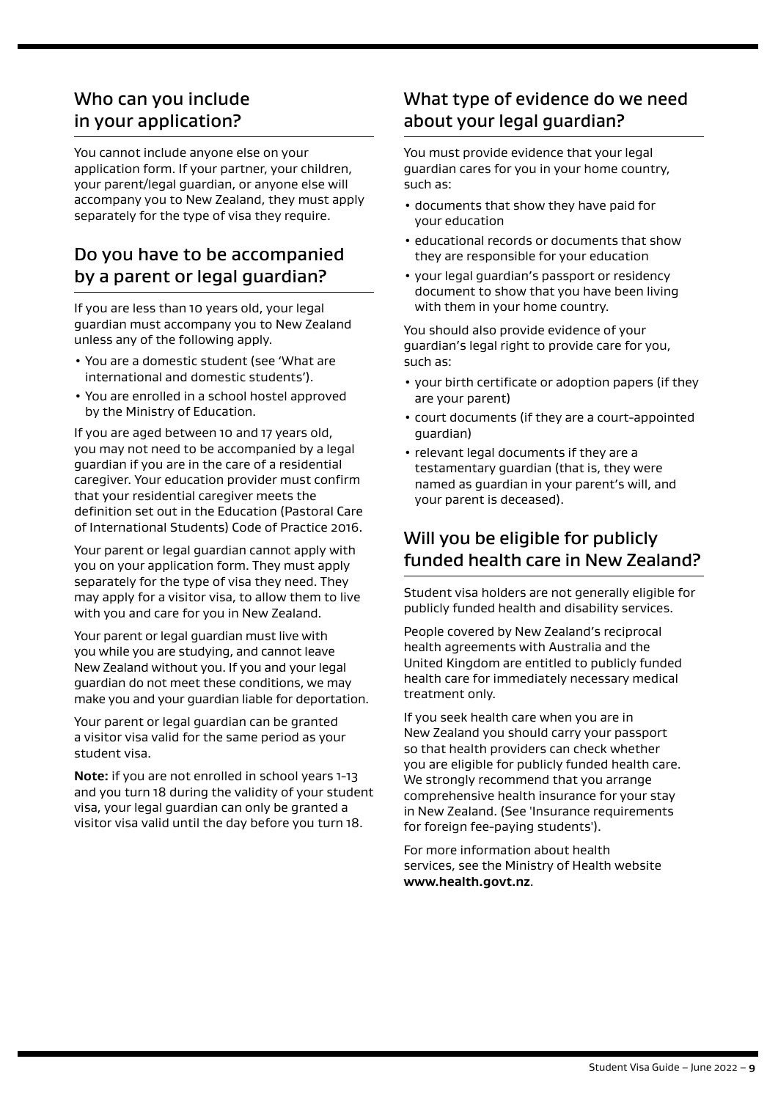# Who can you include in your application?

You cannot include anyone else on your application form. If your partner, your children, your parent/legal guardian, or anyone else will accompany you to New Zealand, they must apply separately for the type of visa they require.

# Do you have to be accompanied by a parent or legal guardian?

If you are less than 10 years old, your legal guardian must accompany you to New Zealand unless any of the following apply.

- You are a domestic student (see 'What are international and domestic students').
- You are enrolled in a school hostel approved by the Ministry of Education.

If you are aged between 10 and 17 years old, you may not need to be accompanied by a legal guardian if you are in the care of a residential caregiver. Your education provider must confirm that your residential caregiver meets the definition set out in the Education (Pastoral Care of International Students) Code of Practice 2016.

Your parent or legal guardian cannot apply with you on your application form. They must apply separately for the type of visa they need. They may apply for a visitor visa, to allow them to live with you and care for you in New Zealand.

Your parent or legal guardian must live with you while you are studying, and cannot leave New Zealand without you. If you and your legal guardian do not meet these conditions, we may make you and your guardian liable for deportation.

Your parent or legal guardian can be granted a visitor visa valid for the same period as your student visa.

**Note:** if you are not enrolled in school years 1-13 and you turn 18 during the validity of your student visa, your legal guardian can only be granted a visitor visa valid until the day before you turn 18.

# What type of evidence do we need about your legal guardian?

You must provide evidence that your legal guardian cares for you in your home country, such as:

- documents that show they have paid for your education
- educational records or documents that show they are responsible for your education
- your legal guardian's passport or residency document to show that you have been living with them in your home country.

You should also provide evidence of your guardian's legal right to provide care for you, such as:

- your birth certificate or adoption papers (if they are your parent)
- court documents (if they are a court-appointed guardian)
- relevant legal documents if they are a testamentary guardian (that is, they were named as guardian in your parent's will, and your parent is deceased).

# Will you be eligible for publicly funded health care in New Zealand?

Student visa holders are not generally eligible for publicly funded health and disability services.

People covered by New Zealand's reciprocal health agreements with Australia and the United Kingdom are entitled to publicly funded health care for immediately necessary medical treatment only.

If you seek health care when you are in New Zealand you should carry your passport so that health providers can check whether you are eligible for publicly funded health care. We strongly recommend that you arrange comprehensive health insurance for your stay in New Zealand. (See 'Insurance requirements for foreign fee-paying students').

For more information about health services, see the Ministry of Health website **[www.health.govt.nz](https://www.immigration.govt.nzwww.health.govt.nz)**.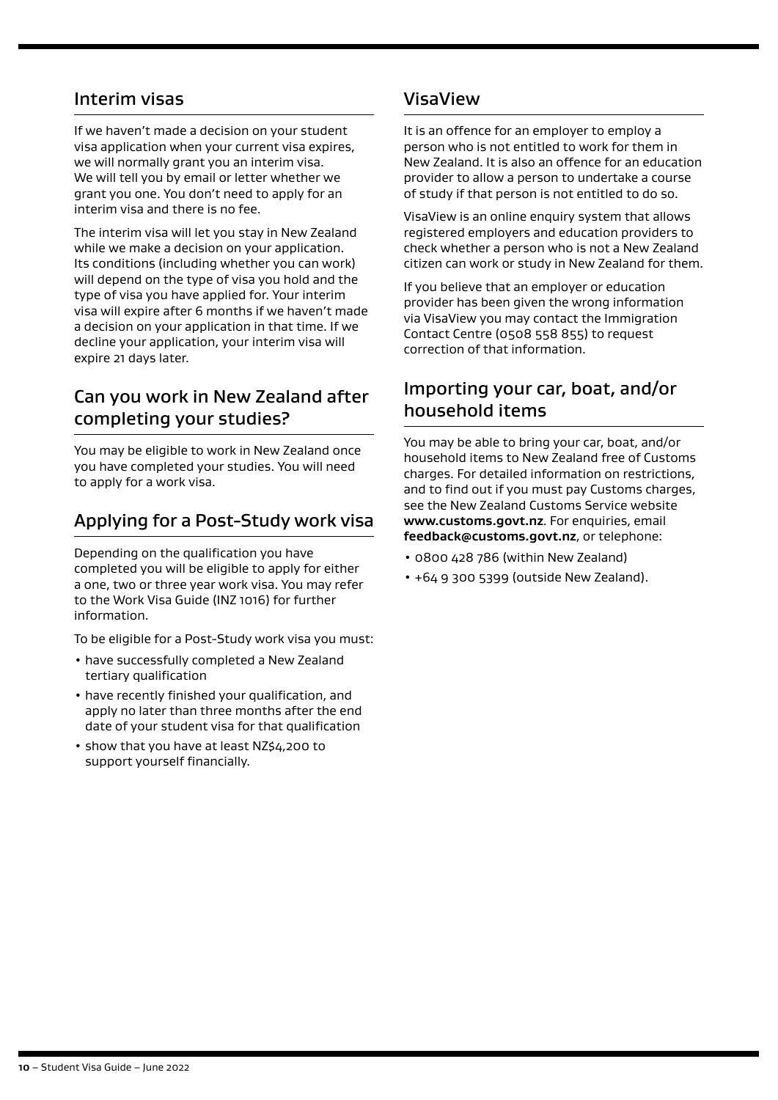# Interim visas

If we haven't made a decision on your student visa application when your current visa expires, we will normally grant you an interim visa. We will tell you by email or letter whether we grant you one. You don't need to apply for an interim visa and there is no fee.

The interim visa will let you stay in New Zealand while we make a decision on your application. Its conditions (including whether you can work) will depend on the type of visa you hold and the type of visa you have applied for. Your interim visa will expire after 6 months if we haven't made a decision on your application in that time. If we decline your application, your interim visa will expire 21 days later.

# Can you work in New Zealand after completing your studies?

You may be eligible to work in New Zealand once you have completed your studies. You will need to apply for a work visa.

# Applying for a Post-Study work visa

Depending on the qualification you have completed you will be eligible to apply for either a one, two or three year work visa. You may refer to the Work Visa Guide (INZ 1016) for further information.

To be eligible for a Post-Study work visa you must:

- have successfully completed a New Zealand tertiary qualification
- have recently finished your qualification, and apply no later than three months after the end date of your student visa for that qualification
- show that you have at least NZ\$4,200 to support yourself financially.

# VisaView

It is an offence for an employer to employ a person who is not entitled to work for them in New Zealand. It is also an offence for an education provider to allow a person to undertake a course of study if that person is not entitled to do so.

VisaView is an online enquiry system that allows registered employers and education providers to check whether a person who is not a New Zealand citizen can work or study in New Zealand for them.

If you believe that an employer or education provider has been given the wrong information via VisaView you may contact the Immigration Contact Centre (0508 558 855) to request correction of that information.

# Importing your car, boat, and/or household items

You may be able to bring your car, boat, and/or household items to New Zealand free of Customs charges. For detailed information on restrictions, and to find out if you must pay Customs charges, see the New Zealand Customs Service website **[www.customs.govt.nz](https://www.immigration.govt.nzwww.customs.govt.nz).** For enquiries, email **[feedback@customs.govt.nz](mailto:feedback@customs.govt.nz)**, or telephone:

- 0800 428 786 (within New Zealand)
- +64 9 300 5399 (outside New Zealand).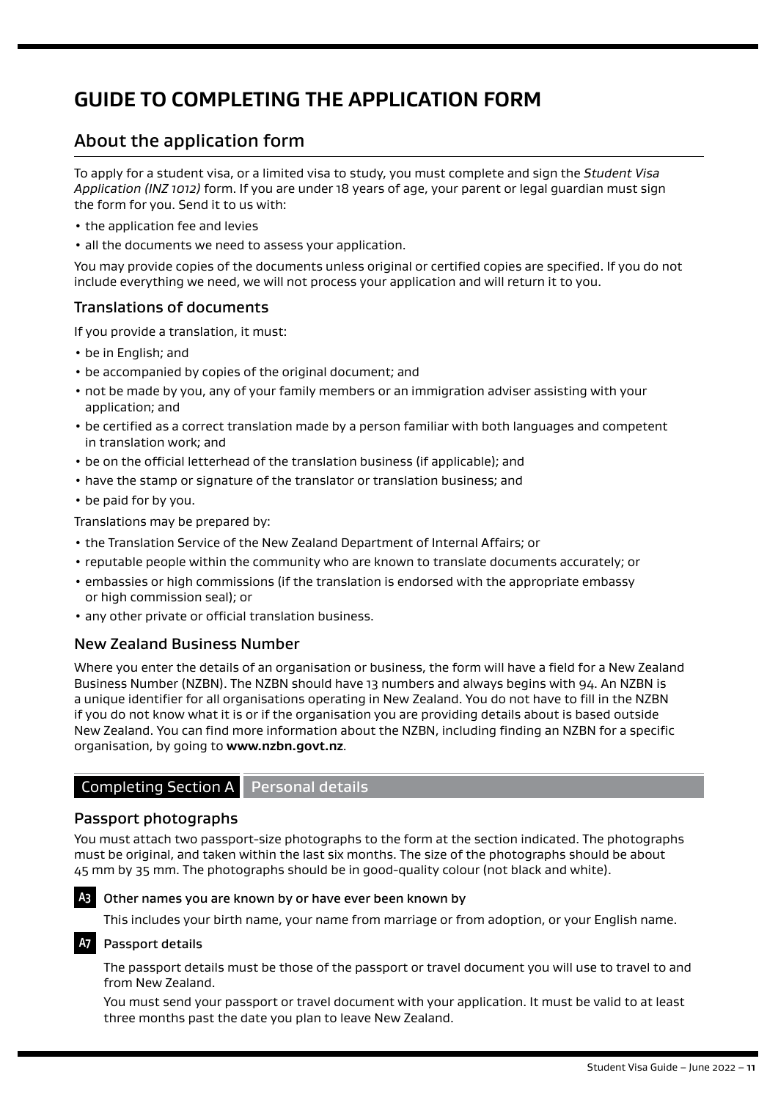# **GUIDE TO COMPLETING THE APPLICATION FORM**

# About the application form

To apply for a student visa, or a limited visa to study, you must complete and sign the *Student Visa Application (INZ 1012)* form. If you are under 18 years of age, your parent or legal guardian must sign the form for you. Send it to us with:

- the application fee and levies
- all the documents we need to assess your application.

You may provide copies of the documents unless original or certified copies are specified. If you do not include everything we need, we will not process your application and will return it to you.

### Translations of documents

If you provide a translation, it must:

- be in English; and
- be accompanied by copies of the original document; and
- not be made by you, any of your family members or an immigration adviser assisting with your application; and
- be certified as a correct translation made by a person familiar with both languages and competent in translation work; and
- be on the official letterhead of the translation business (if applicable); and
- have the stamp or signature of the translator or translation business; and
- be paid for by you.

Translations may be prepared by:

- the Translation Service of the New Zealand Department of Internal Affairs; or
- reputable people within the community who are known to translate documents accurately; or
- embassies or high commissions (if the translation is endorsed with the appropriate embassy or high commission seal); or
- any other private or official translation business.

### New Zealand Business Number

Where you enter the details of an organisation or business, the form will have a field for a New Zealand Business Number (NZBN). The NZBN should have 13 numbers and always begins with 94. An NZBN is a unique identifier for all organisations operating in New Zealand. You do not have to fill in the NZBN if you do not know what it is or if the organisation you are providing details about is based outside New Zealand. You can find more information about the NZBN, including finding an NZBN for a specific organisation, by going to **www.nzbn.govt.nz**.

# Completing Section A Personal details

### Passport photographs

You must attach two passport-size photographs to the form at the section indicated. The photographs must be original, and taken within the last six months. The size of the photographs should be about 45 mm by 35 mm. The photographs should be in good-quality colour (not black and white).



#### **A3** Other names you are known by or have ever been known by

This includes your birth name, your name from marriage or from adoption, or your English name.

#### **A7** Passport details

The passport details must be those of the passport or travel document you will use to travel to and from New Zealand.

You must send your passport or travel document with your application. It must be valid to at least three months past the date you plan to leave New Zealand.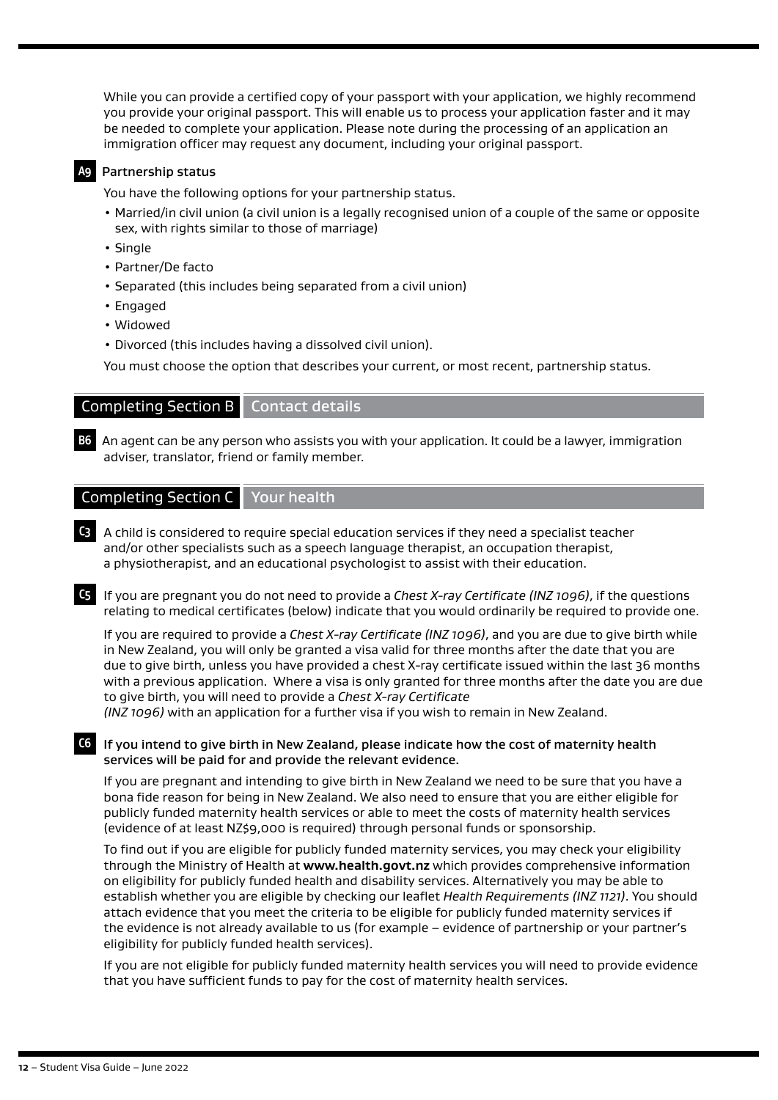While you can provide a certified copy of your passport with your application, we highly recommend you provide your original passport. This will enable us to process your application faster and it may be needed to complete your application. Please note during the processing of an application an immigration officer may request any document, including your original passport.

#### **A9** Partnership status

You have the following options for your partnership status.

- Married/in civil union (a civil union is a legally recognised union of a couple of the same or opposite sex, with rights similar to those of marriage)
- Single
- Partner/De facto
- Separated (this includes being separated from a civil union)
- Engaged
- Widowed
- Divorced (this includes having a dissolved civil union).

You must choose the option that describes your current, or most recent, partnership status.

### Completing Section B Contact details

**B6** An agent can be any person who assists you with your application. It could be a lawyer, immigration adviser, translator, friend or family member.

#### Completing Section C Your health

**C3** A child is considered to require special education services if they need a specialist teacher and/or other specialists such as a speech language therapist, an occupation therapist, a physiotherapist, and an educational psychologist to assist with their education.

**C5** If you are pregnant you do not need to provide a *Chest X-ray Certificate (INZ 1096)*, if the questions relating to medical certificates (below) indicate that you would ordinarily be required to provide one.

If you are required to provide a *Chest X-ray Certificate (INZ 1096)*, and you are due to give birth while in New Zealand, you will only be granted a visa valid for three months after the date that you are due to give birth, unless you have provided a chest X-ray certificate issued within the last 36 months with a previous application. Where a visa is only granted for three months after the date you are due to give birth, you will need to provide a *Chest X-ray Certificate* 

*(INZ 1096)* with an application for a further visa if you wish to remain in New Zealand.

#### **C6** If you intend to give birth in New Zealand, please indicate how the cost of maternity health services will be paid for and provide the relevant evidence.

If you are pregnant and intending to give birth in New Zealand we need to be sure that you have a bona fide reason for being in New Zealand. We also need to ensure that you are either eligible for publicly funded maternity health services or able to meet the costs of maternity health services (evidence of at least NZ\$9,000 is required) through personal funds or sponsorship.

To find out if you are eligible for publicly funded maternity services, you may check your eligibility through the Ministry of Health at **[www.health.govt.nz](https://www.immigration.govt.nzwww.health.govt.nz)** which provides comprehensive information on eligibility for publicly funded health and disability services. Alternatively you may be able to establish whether you are eligible by checking our leaflet *Health Requirements (INZ 1121)*. You should attach evidence that you meet the criteria to be eligible for publicly funded maternity services if the evidence is not already available to us (for example – evidence of partnership or your partner's eligibility for publicly funded health services).

If you are not eligible for publicly funded maternity health services you will need to provide evidence that you have sufficient funds to pay for the cost of maternity health services.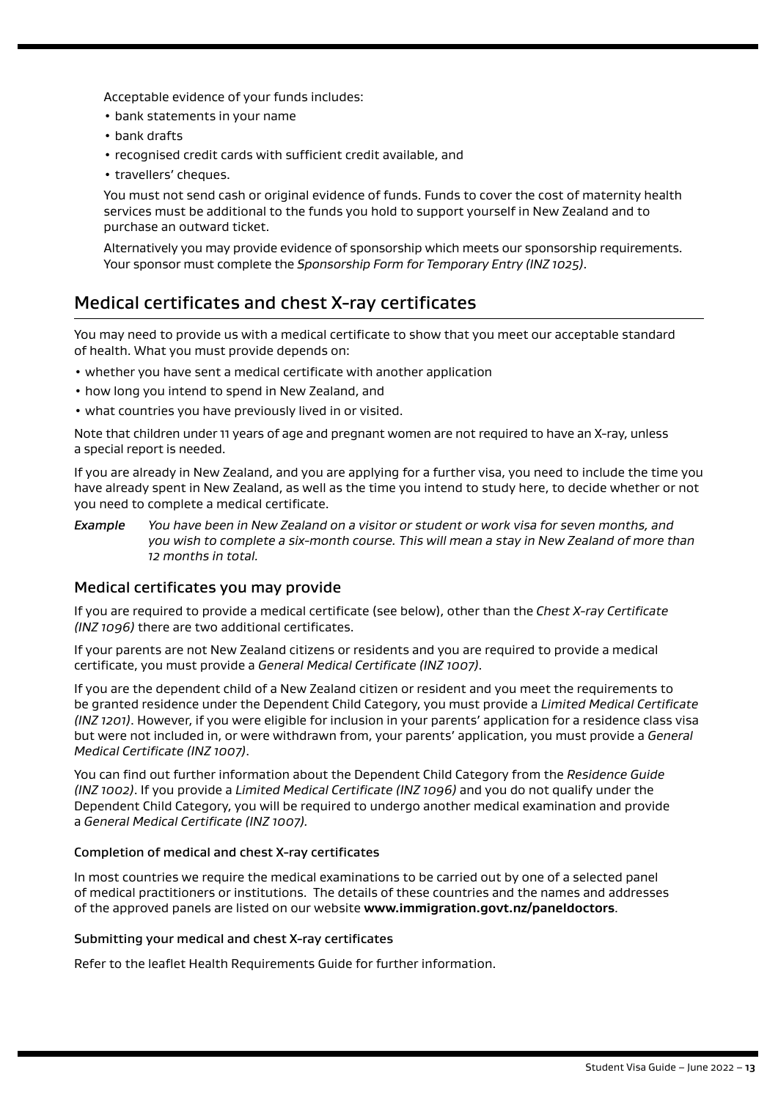Acceptable evidence of your funds includes:

- bank statements in your name
- bank drafts
- recognised credit cards with sufficient credit available, and
- travellers' cheques.

You must not send cash or original evidence of funds. Funds to cover the cost of maternity health services must be additional to the funds you hold to support yourself in New Zealand and to purchase an outward ticket.

Alternatively you may provide evidence of sponsorship which meets our sponsorship requirements. Your sponsor must complete the *Sponsorship Form for Temporary Entry (INZ 1025)*.

# Medical certificates and chest X-ray certificates

You may need to provide us with a medical certificate to show that you meet our acceptable standard of health. What you must provide depends on:

- whether you have sent a medical certificate with another application
- how long you intend to spend in New Zealand, and
- what countries you have previously lived in or visited.

Note that children under 11 years of age and pregnant women are not required to have an X-ray, unless a special report is needed.

If you are already in New Zealand, and you are applying for a further visa, you need to include the time you have already spent in New Zealand, as well as the time you intend to study here, to decide whether or not you need to complete a medical certificate.

*Example You have been in New Zealand on a visitor or student or work visa for seven months, and you wish to complete a six-month course. This will mean a stay in New Zealand of more than 12 months in total.* 

### Medical certificates you may provide

If you are required to provide a medical certificate (see below), other than the *Chest X-ray Certificate (INZ 1096)* there are two additional certificates.

If your parents are not New Zealand citizens or residents and you are required to provide a medical certificate, you must provide a *General Medical Certificate (INZ 1007)*.

If you are the dependent child of a New Zealand citizen or resident and you meet the requirements to be granted residence under the Dependent Child Category, you must provide a *Limited Medical Certificate (INZ 1201)*. However, if you were eligible for inclusion in your parents' application for a residence class visa but were not included in, or were withdrawn from, your parents' application, you must provide a *General Medical Certificate (INZ 1007)*.

You can find out further information about the Dependent Child Category from the *Residence Guide (INZ 1002)*. If you provide a *Limited Medical Certificate (INZ 1096)* and you do not qualify under the Dependent Child Category, you will be required to undergo another medical examination and provide a *General Medical Certificate (INZ 1007).*

#### Completion of medical and chest X-ray certificates

In most countries we require the medical examinations to be carried out by one of a selected panel of medical practitioners or institutions. The details of these countries and the names and addresses of the approved panels are listed on our website **[www.immigration.govt.nz/paneldoctors](https://www.immigration.govt.nzwww.immigration.govt.nz/paneldoctors)**.

#### Submitting your medical and chest X-ray certificates

Refer to the leaflet Health Requirements Guide for further information.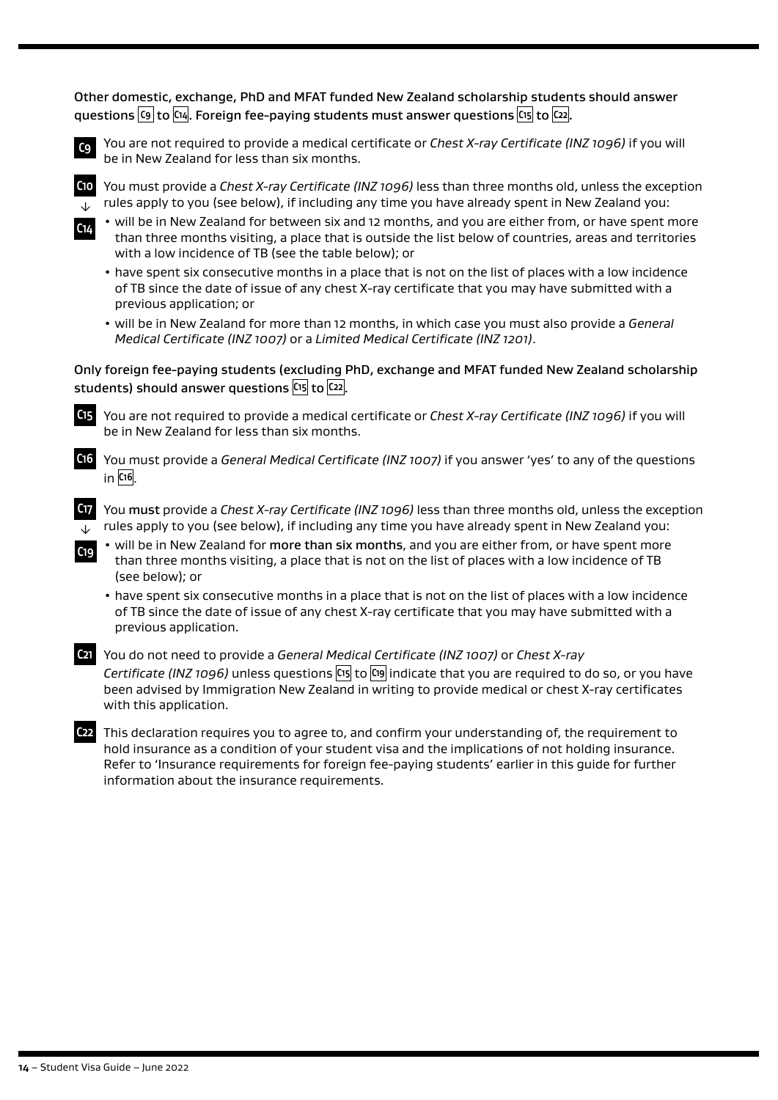Other domestic, exchange, PhD and MFAT funded New Zealand scholarship students should answer questions **C9** to **C14** . Foreign fee-paying students must answer questions **C15** to **C22** .



**C9** You are not required to provide a medical certificate or *Chest X-ray Certificate (INZ 1096)* if you will be in New Zealand for less than six months.

↓

**C10** You must provide a *Chest X-ray Certificate (INZ 1096)* less than three months old, unless the exception rules apply to you (see below), if including any time you have already spent in New Zealand you:



• will be in New Zealand for between six and 12 months, and you are either from, or have spent more than three months visiting, a place that is outside the list below of countries, areas and territories with a low incidence of TB (see the table below); or

• have spent six consecutive months in a place that is not on the list of places with a low incidence of TB since the date of issue of any chest X-ray certificate that you may have submitted with a previous application; or

• will be in New Zealand for more than 12 months, in which case you must also provide a *General Medical Certificate (INZ 1007)* or a *Limited Medical Certificate (INZ 1201)*.

#### Only foreign fee-paying students (excluding PhD, exchange and MFAT funded New Zealand scholarship students) should answer questions **C15** to **C22** .



**C15** You are not required to provide a medical certificate or *Chest X-ray Certificate (INZ 1096)* if you will be in New Zealand for less than six months.



**C17** You must provide a *Chest X-ray Certificate (INZ 1096)* less than three months old, unless the exception rules apply to you (see below), if including any time you have already spent in New Zealand you: ↓

- will be in New Zealand for more than six months, and you are either from, or have spent more than three months visiting, a place that is not on the list of places with a low incidence of TB (see below); or
- have spent six consecutive months in a place that is not on the list of places with a low incidence of TB since the date of issue of any chest X-ray certificate that you may have submitted with a previous application.



**C19**

**C21** You do not need to provide a *General Medical Certificate (INZ 1007)* or *Chest X-ray Certificate (INZ 1096)* unless questions **C15** to **C19** indicate that you are required to do so, or you have been advised by Immigration New Zealand in writing to provide medical or chest X-ray certificates with this application.

**C22** This declaration requires you to agree to, and confirm your understanding of, the requirement to hold insurance as a condition of your student visa and the implications of not holding insurance. Refer to 'Insurance requirements for foreign fee-paying students' earlier in this guide for further information about the insurance requirements.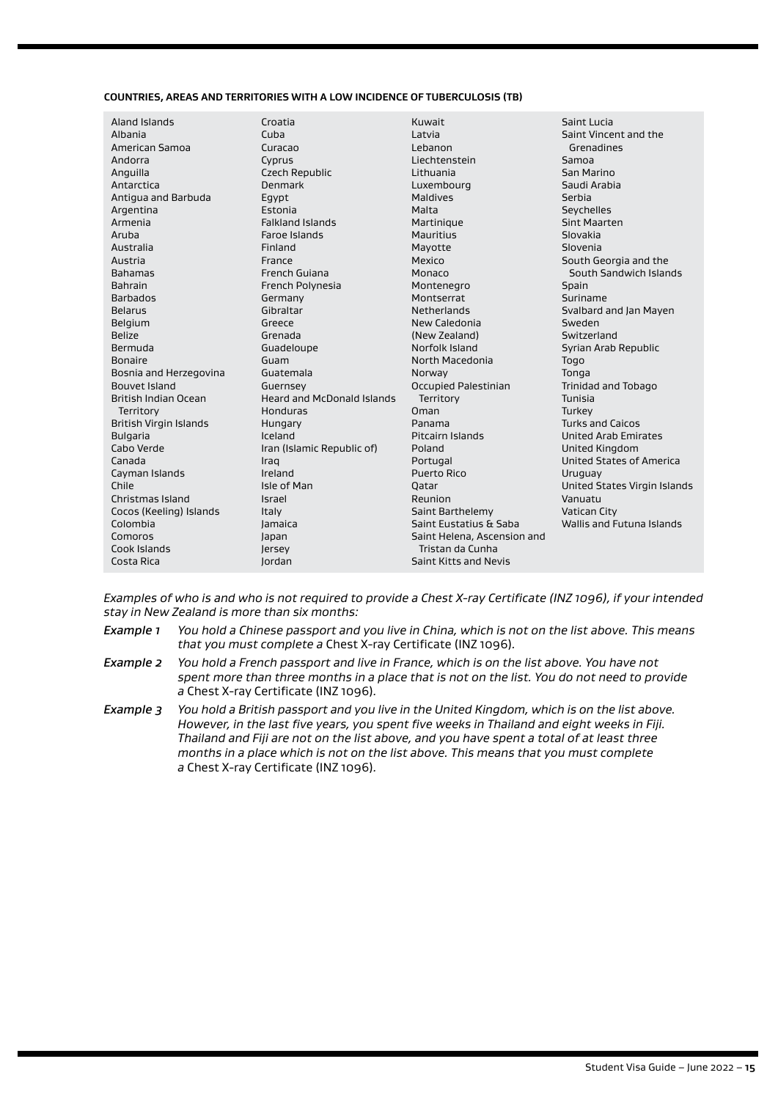#### **COUNTRIES, AREAS AND TERRITORIES WITH A LOW INCIDENCE OF TUBERCULOSIS (TB)**

| Aland Islands               | Croatia                           | Kuwait                      | Saint Lucia                     |
|-----------------------------|-----------------------------------|-----------------------------|---------------------------------|
| Albania                     | Cuba                              | Latvia                      | Saint Vincent and the           |
| American Samoa              | Curacao                           | Lebanon                     | Grenadines                      |
| Andorra                     | Cyprus                            | Liechtenstein               | Samoa                           |
| Anguilla                    | Czech Republic                    | Lithuania                   | San Marino                      |
| Antarctica                  | Denmark                           | Luxembourg                  | Saudi Arabia                    |
| Antigua and Barbuda         | Egypt                             | Maldives                    | Serbia                          |
| Argentina                   | Estonia                           | Malta                       | Seychelles                      |
| Armenia                     | <b>Falkland Islands</b>           | Martinique                  | <b>Sint Maarten</b>             |
| Aruba                       | Faroe Islands                     | Mauritius                   | Slovakia                        |
| Australia                   | Finland                           | Mayotte                     | Slovenia                        |
| Austria                     | France                            | Mexico                      | South Georgia and the           |
| <b>Bahamas</b>              | French Guiana                     | Monaco                      | South Sandwich Islands          |
| <b>Bahrain</b>              | French Polynesia                  | Montenegro                  | Spain                           |
| <b>Barbados</b>             | Germany                           | Montserrat                  | Suriname                        |
| <b>Belarus</b>              | Gibraltar                         | Netherlands                 | Svalbard and Jan Mayen          |
| Belgium                     | Greece                            | New Caledonia               | Sweden                          |
| <b>Belize</b>               | Grenada                           | (New Zealand)               | Switzerland                     |
| Bermuda                     | Guadeloupe                        | Norfolk Island              | Syrian Arab Republic            |
| Bonaire                     | Guam                              | North Macedonia             | Togo                            |
| Bosnia and Herzegovina      | Guatemala                         | Norway                      | Tonga                           |
| Bouvet Island               | Guernsey                          | <b>Occupied Palestinian</b> | <b>Trinidad and Tobago</b>      |
| <b>British Indian Ocean</b> | <b>Heard and McDonald Islands</b> | Territory                   | Tunisia                         |
| Territory                   | Honduras                          | Oman                        | Turkey                          |
| British Virgin Islands      | Hungary                           | Panama                      | <b>Turks and Caicos</b>         |
| <b>Bulgaria</b>             | Iceland                           | Pitcairn Islands            | <b>United Arab Emirates</b>     |
| Cabo Verde                  | Iran (Islamic Republic of)        | Poland                      | <b>United Kingdom</b>           |
| Canada                      | Iraq                              | Portugal                    | <b>United States of America</b> |
| Cayman Islands              | Ireland                           | <b>Puerto Rico</b>          | Uruguay                         |
| Chile                       | Isle of Man                       | Oatar                       | United States Virgin Islands    |
| Christmas Island            | Israel                            | Reunion                     | Vanuatu                         |
| Cocos (Keeling) Islands     | Italy                             | Saint Barthelemy            | <b>Vatican City</b>             |
| Colombia                    | <b>Jamaica</b>                    | Saint Eustatius & Saba      | Wallis and Futuna Islands       |
| Comoros                     | Japan                             | Saint Helena, Ascension and |                                 |
| Cook Islands                | Jersey                            | Tristan da Cunha            |                                 |
| Costa Rica                  | Jordan                            | Saint Kitts and Nevis       |                                 |
|                             |                                   |                             |                                 |

*Examples of who is and who is not required to provide a Chest X-ray Certificate (INZ 1096), if your intended stay in New Zealand is more than six months:*

- *Example 1 You hold a Chinese passport and you live in China, which is not on the list above. This means that you must complete a* Chest X-ray Certificate (INZ 1096)*.*
- *Example 2 You hold a French passport and live in France, which is on the list above. You have not spent more than three months in a place that is not on the list. You do not need to provide a* Chest X-ray Certificate (INZ 1096)*.*
- *Example 3 You hold a British passport and you live in the United Kingdom, which is on the list above. However, in the last five years, you spent five weeks in Thailand and eight weeks in Fiji. Thailand and Fiji are not on the list above, and you have spent a total of at least three months in a place which is not on the list above. This means that you must complete a* Chest X-ray Certificate (INZ 1096)*.*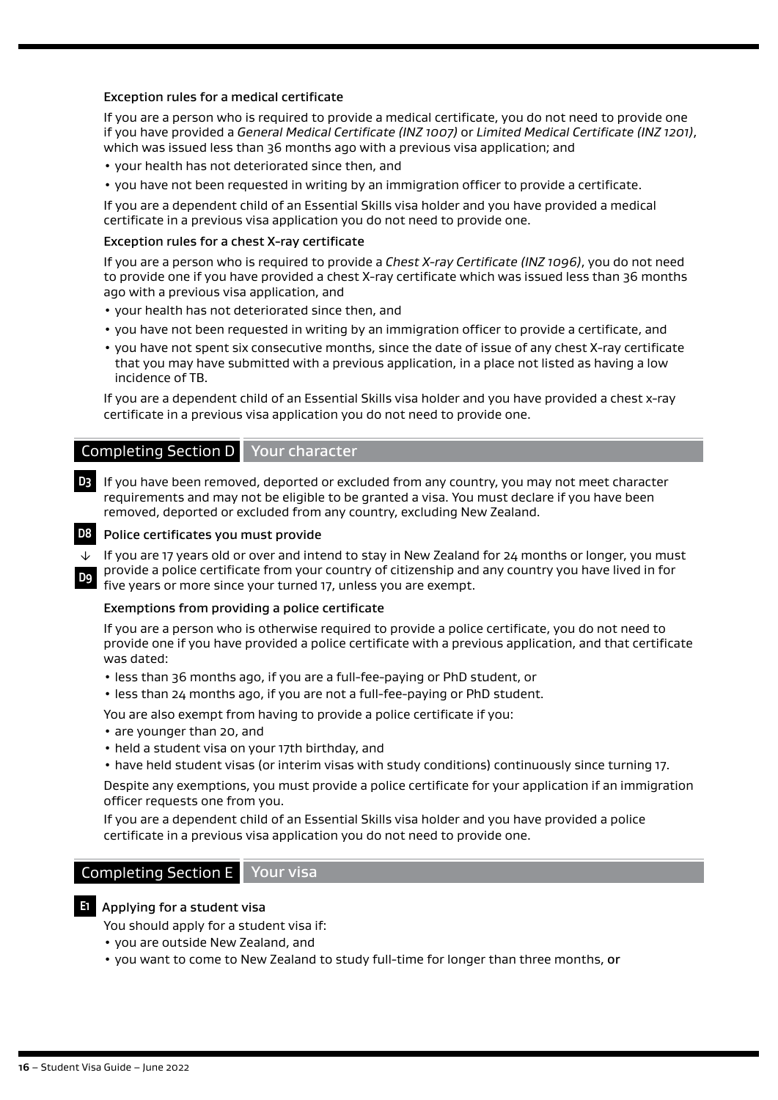#### Exception rules for a medical certificate

If you are a person who is required to provide a medical certificate, you do not need to provide one if you have provided a *General Medical Certificate (INZ 1007)* or *Limited Medical Certificate (INZ 1201)*, which was issued less than 36 months ago with a previous visa application; and

- your health has not deteriorated since then, and
- you have not been requested in writing by an immigration officer to provide a certificate.

If you are a dependent child of an Essential Skills visa holder and you have provided a medical certificate in a previous visa application you do not need to provide one.

#### Exception rules for a chest X-ray certificate

If you are a person who is required to provide a *Chest X-ray Certificate (INZ 1096)*, you do not need to provide one if you have provided a chest X-ray certificate which was issued less than 36 months ago with a previous visa application, and

- your health has not deteriorated since then, and
- you have not been requested in writing by an immigration officer to provide a certificate, and
- you have not spent six consecutive months, since the date of issue of any chest X-ray certificate that you may have submitted with a previous application, in a place not listed as having a low incidence of TB.

If you are a dependent child of an Essential Skills visa holder and you have provided a chest x-ray certificate in a previous visa application you do not need to provide one.

# Completing Section D Your character

**D3** If you have been removed, deported or excluded from any country, you may not meet character requirements and may not be eligible to be granted a visa. You must declare if you have been removed, deported or excluded from any country, excluding New Zealand.



### **D8** Police certificates you must provide

If you are 17 years old or over and intend to stay in New Zealand for 24 months or longer, you must provide a police certificate from your country of citizenship and any country you have lived in for ↓

five years or more since your turned 17, unless you are exempt. **D9**

#### Exemptions from providing a police certificate

If you are a person who is otherwise required to provide a police certificate, you do not need to provide one if you have provided a police certificate with a previous application, and that certificate was dated:

- less than 36 months ago, if you are a full-fee-paying or PhD student, or
- less than 24 months ago, if you are not a full-fee-paying or PhD student.

You are also exempt from having to provide a police certificate if you:

- are younger than 20, and
- held a student visa on your 17th birthday, and
- have held student visas (or interim visas with study conditions) continuously since turning 17.

Despite any exemptions, you must provide a police certificate for your application if an immigration officer requests one from you.

If you are a dependent child of an Essential Skills visa holder and you have provided a police certificate in a previous visa application you do not need to provide one.

### Completing Section E Your visa

#### **E1** Applying for a student visa

You should apply for a student visa if:

- you are outside New Zealand, and
- you want to come to New Zealand to study full-time for longer than three months, or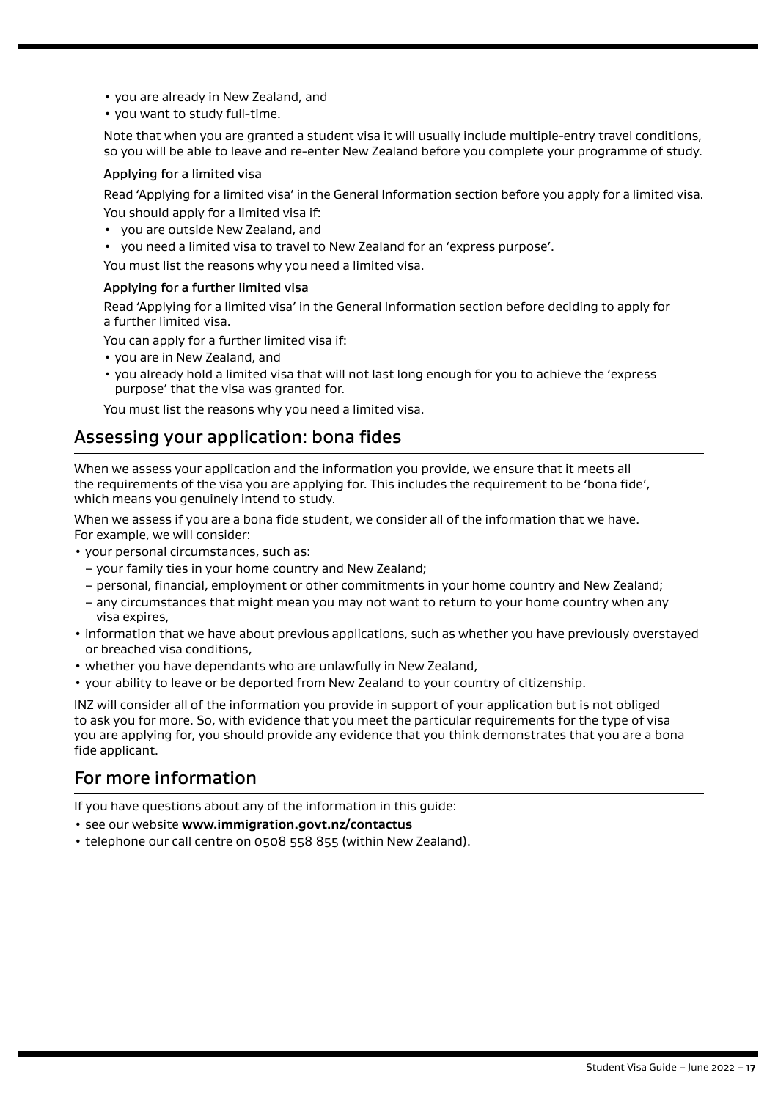- you are already in New Zealand, and
- you want to study full-time.

Note that when you are granted a student visa it will usually include multiple-entry travel conditions, so you will be able to leave and re-enter New Zealand before you complete your programme of study.

#### Applying for a limited visa

Read 'Applying for a limited visa' in the General Information section before you apply for a limited visa. You should apply for a limited visa if:

- you are outside New Zealand, and
- you need a limited visa to travel to New Zealand for an 'express purpose'.

You must list the reasons why you need a limited visa.

#### Applying for a further limited visa

Read 'Applying for a limited visa' in the General Information section before deciding to apply for a further limited visa.

You can apply for a further limited visa if:

- you are in New Zealand, and
- you already hold a limited visa that will not last long enough for you to achieve the 'express purpose' that the visa was granted for.

You must list the reasons why you need a limited visa.

# Assessing your application: bona fides

When we assess your application and the information you provide, we ensure that it meets all the requirements of the visa you are applying for. This includes the requirement to be 'bona fide', which means you genuinely intend to study.

When we assess if you are a bona fide student, we consider all of the information that we have. For example, we will consider:

• your personal circumstances, such as:

- your family ties in your home country and New Zealand;
- personal, financial, employment or other commitments in your home country and New Zealand;
- any circumstances that might mean you may not want to return to your home country when any visa expires,
- information that we have about previous applications, such as whether you have previously overstayed or breached visa conditions,
- whether you have dependants who are unlawfully in New Zealand,
- your ability to leave or be deported from New Zealand to your country of citizenship.

INZ will consider all of the information you provide in support of your application but is not obliged to ask you for more. So, with evidence that you meet the particular requirements for the type of visa you are applying for, you should provide any evidence that you think demonstrates that you are a bona fide applicant.

# For more information

If you have questions about any of the information in this guide:

- see our website **[www.immigration.govt.nz/contactus](https://www.immigration.govt.nzwww.immigration.govt.nz/contactus)**
- telephone our call centre on 0508 558 855 (within New Zealand).